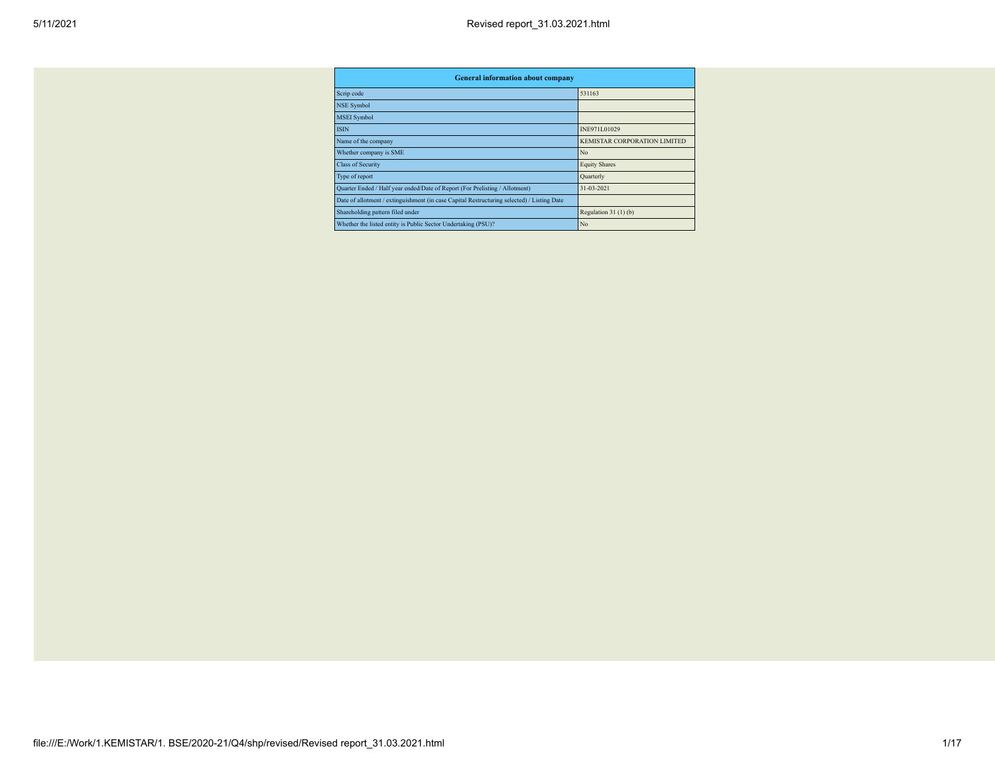| <b>General information about company</b>                                                   |                                     |
|--------------------------------------------------------------------------------------------|-------------------------------------|
| Scrip code                                                                                 | 531163                              |
| <b>NSE Symbol</b>                                                                          |                                     |
| <b>MSEI</b> Symbol                                                                         |                                     |
| <b>ISIN</b>                                                                                | INE971L01029                        |
| Name of the company                                                                        | <b>KEMISTAR CORPORATION LIMITED</b> |
| Whether company is SME                                                                     | N <sub>o</sub>                      |
| <b>Class of Security</b>                                                                   | <b>Equity Shares</b>                |
| Type of report                                                                             | Quarterly                           |
| Quarter Ended / Half year ended/Date of Report (For Prelisting / Allotment)                | 31-03-2021                          |
| Date of allotment / extinguishment (in case Capital Restructuring selected) / Listing Date |                                     |
| Shareholding pattern filed under                                                           | Regulation $31(1)(b)$               |
| Whether the listed entity is Public Sector Undertaking (PSU)?                              | N <sub>o</sub>                      |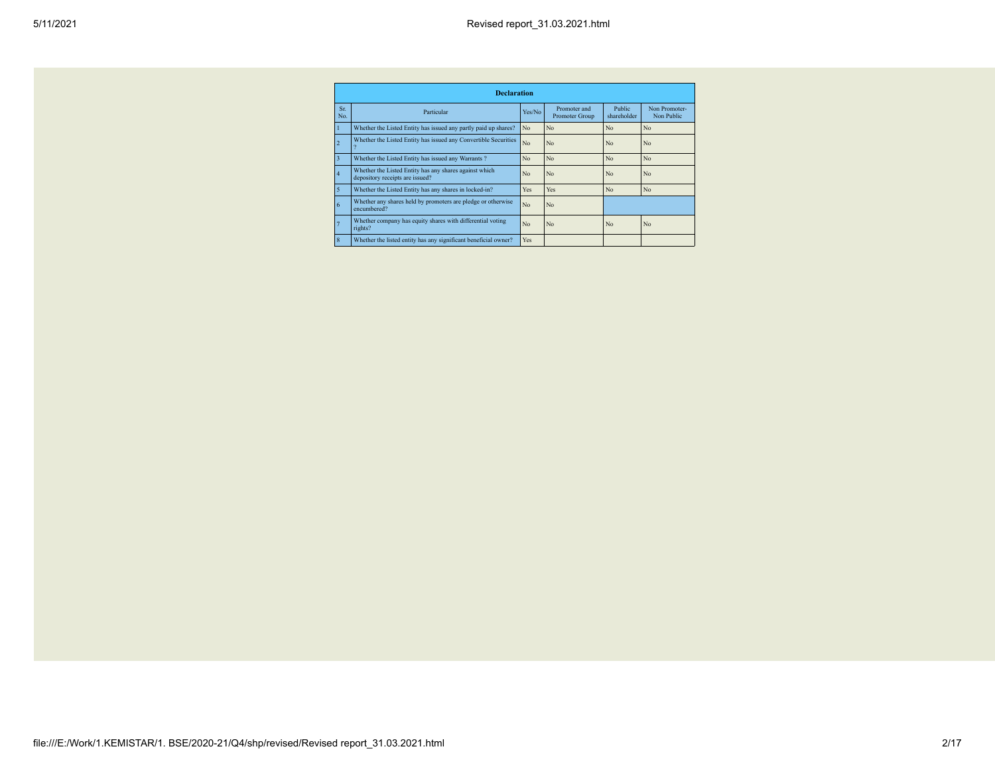|                | <b>Declaration</b>                                                                        |                |                                |                              |                             |  |  |  |  |  |
|----------------|-------------------------------------------------------------------------------------------|----------------|--------------------------------|------------------------------|-----------------------------|--|--|--|--|--|
| Sr.<br>No.     | Particular                                                                                | Yes/No         | Promoter and<br>Promoter Group | <b>Public</b><br>shareholder | Non Promoter-<br>Non Public |  |  |  |  |  |
|                | Whether the Listed Entity has issued any partly paid up shares?                           | N <sub>o</sub> | N <sub>o</sub>                 | N <sub>o</sub>               | N <sub>o</sub>              |  |  |  |  |  |
| $\overline{2}$ | Whether the Listed Entity has issued any Convertible Securities                           | N <sub>o</sub> | N <sub>o</sub>                 | N <sub>o</sub>               | N <sub>o</sub>              |  |  |  |  |  |
| 3              | Whether the Listed Entity has issued any Warrants?                                        | N <sub>o</sub> | N <sub>o</sub>                 | N <sub>o</sub>               | N <sub>o</sub>              |  |  |  |  |  |
| 4              | Whether the Listed Entity has any shares against which<br>depository receipts are issued? | N <sub>o</sub> | N <sub>o</sub>                 | N <sub>o</sub>               | No                          |  |  |  |  |  |
| 5              | Whether the Listed Entity has any shares in locked-in?                                    | Yes            | Yes                            | N <sub>o</sub>               | N <sub>o</sub>              |  |  |  |  |  |
| 6              | Whether any shares held by promoters are pledge or otherwise<br>encumbered?               | N <sub>o</sub> | N <sub>o</sub>                 |                              |                             |  |  |  |  |  |
|                | Whether company has equity shares with differential voting<br>rights?                     | N <sub>o</sub> | N <sub>o</sub>                 | N <sub>o</sub>               | No                          |  |  |  |  |  |
| 8              | Whether the listed entity has any significant beneficial owner?                           | Yes            |                                |                              |                             |  |  |  |  |  |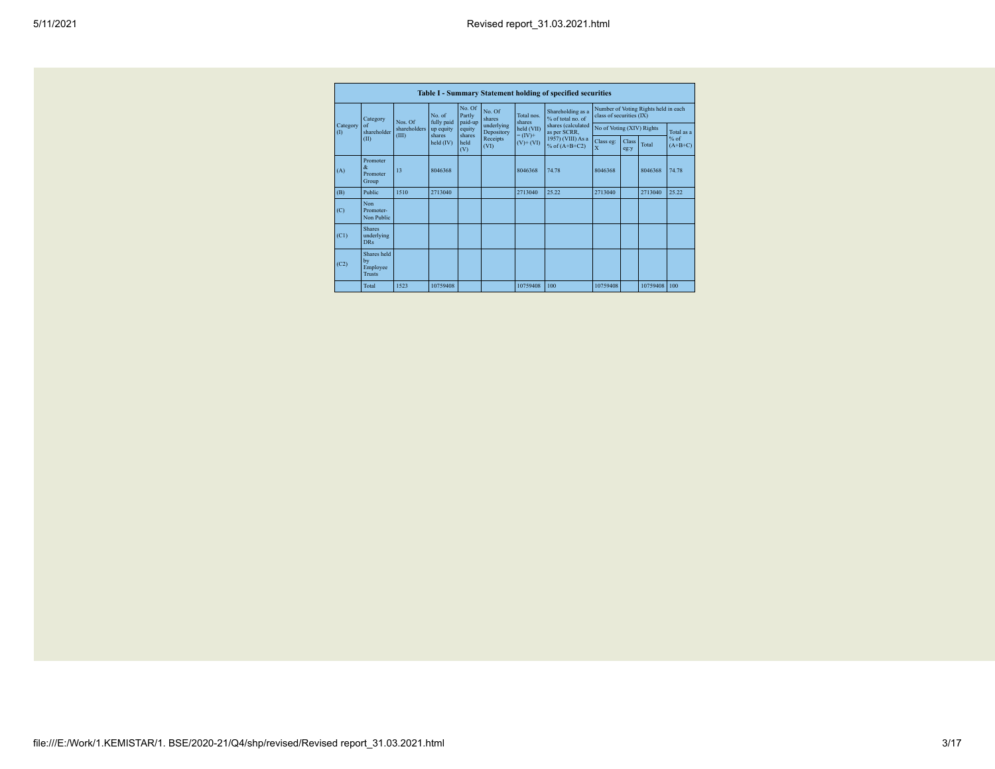|                                  | No. Of<br>Number of Voting Rights held in each |                       |                      |                   |                          |                         |                                        |                           |                      |          |                     |
|----------------------------------|------------------------------------------------|-----------------------|----------------------|-------------------|--------------------------|-------------------------|----------------------------------------|---------------------------|----------------------|----------|---------------------|
|                                  | Category                                       | Nos. Of               | No. of<br>fully paid | Partly<br>paid-up | No. Of<br>shares         | Total nos<br>shares     | Shareholding as a<br>% of total no. of | class of securities (IX)  |                      |          |                     |
| Category<br>$\left( \Pi \right)$ | $\alpha$ f<br>shareholder                      | shareholders<br>(III) | up equity<br>shares  | equity<br>shares  | underlying<br>Depository | held (VII)<br>$=(IV)^+$ | shares (calculated<br>as per SCRR,     | No of Voting (XIV) Rights |                      |          | Total as a          |
|                                  | (II)                                           |                       | held (IV)            | held<br>(V)       | Receipts<br>(VI)         | $(V)$ + $(VI)$          | 1957) (VIII) As a<br>% of $(A+B+C2)$   | Class eg:<br>$\mathbf x$  | <b>Class</b><br>eg:y | Total    | $%$ of<br>$(A+B+C)$ |
| (A)                              | Promoter<br>$\mathcal{R}$<br>Promoter<br>Group | 13                    | 8046368              |                   |                          | 8046368                 | 74.78                                  | 8046368                   |                      | 8046368  | 74.78               |
| (B)                              | Public                                         | 1510                  | 2713040              |                   |                          | 2713040                 | 25.22                                  | 2713040                   |                      | 2713040  | 25.22               |
| (C)                              | Non<br>Promoter-<br>Non Public                 |                       |                      |                   |                          |                         |                                        |                           |                      |          |                     |
| (C1)                             | <b>Shares</b><br>underlying<br><b>DRs</b>      |                       |                      |                   |                          |                         |                                        |                           |                      |          |                     |
| (C2)                             | Shares held<br>by<br>Employee<br><b>Trusts</b> |                       |                      |                   |                          |                         |                                        |                           |                      |          |                     |
|                                  | Total                                          | 1523                  | 10759408             |                   |                          | 10759408                | 100                                    | 10759408                  |                      | 10759408 | 100                 |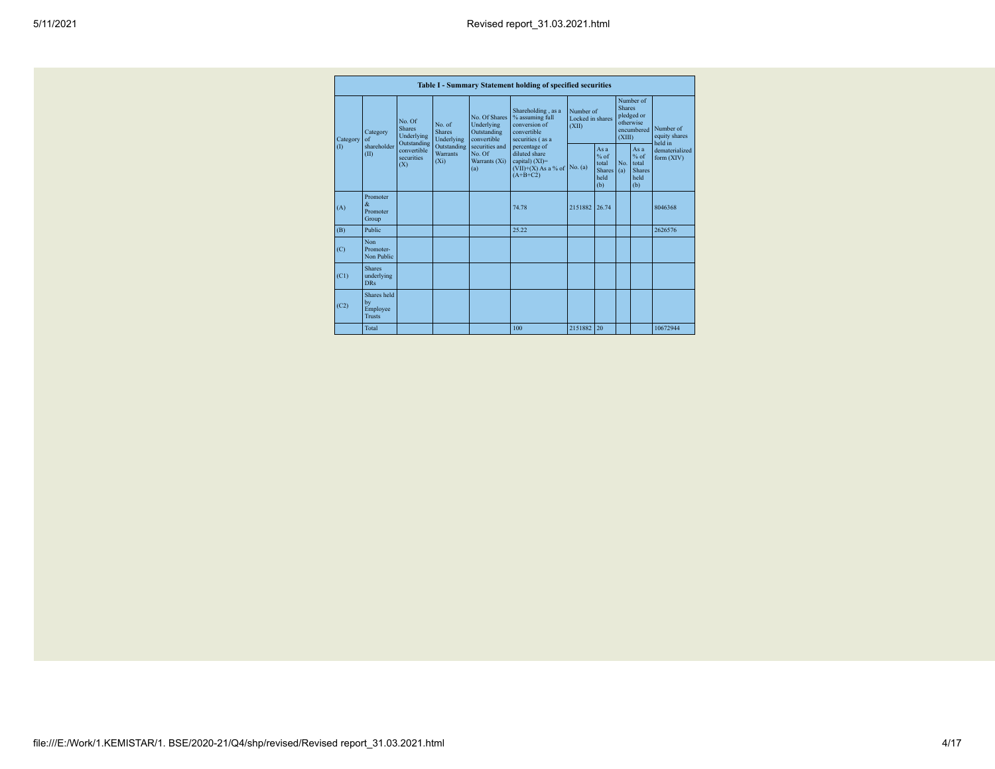|                                                                                                 |                                                |                                                                                             |                                                                                                              |                                                                                                                                                                                         | Table I - Summary Statement holding of specified securities |                                                        |                                                                               |                                                         |                                       |          |
|-------------------------------------------------------------------------------------------------|------------------------------------------------|---------------------------------------------------------------------------------------------|--------------------------------------------------------------------------------------------------------------|-----------------------------------------------------------------------------------------------------------------------------------------------------------------------------------------|-------------------------------------------------------------|--------------------------------------------------------|-------------------------------------------------------------------------------|---------------------------------------------------------|---------------------------------------|----------|
| <b>Shares</b><br>Category<br>Category<br>of<br>Outstanding<br>shareholder<br>(1)<br>(II)<br>(X) | No Of<br>Underlying                            | No of<br><b>Shares</b><br>Underlying<br>Outstanding<br><b>Warrants</b><br>(X <sub>i</sub> ) | No. Of Shares<br>Underlying<br>Outstanding<br>convertible<br>securities and<br>No Of<br>Warrants (Xi)<br>(a) | Shareholding, as a<br>% assuming full<br>conversion of<br>convertible<br>securities (as a<br>percentage of<br>diluted share<br>capital) $(XI)$ =<br>$(VII)+(X)$ As a % of<br>$(A+B+C2)$ | Number of<br>Locked in shares<br>(XII)                      |                                                        | Number of<br><b>Shares</b><br>pledged or<br>otherwise<br>encumbered<br>(XIII) |                                                         | Number of<br>equity shares<br>held in |          |
|                                                                                                 | convertible<br>securities                      |                                                                                             |                                                                                                              |                                                                                                                                                                                         | No. (a)                                                     | Asa<br>$%$ of<br>total<br><b>Shares</b><br>held<br>(b) | No<br>(a)                                                                     | As a<br>$%$ of<br>total<br><b>Shares</b><br>held<br>(b) | dematerialized<br>form $(XIV)$        |          |
| (A)                                                                                             | Promoter<br>$\mathcal{R}$<br>Promoter<br>Group |                                                                                             |                                                                                                              |                                                                                                                                                                                         | 74 78                                                       | 2151882                                                | 26.74                                                                         |                                                         |                                       | 8046368  |
| (B)                                                                                             | Public                                         |                                                                                             |                                                                                                              |                                                                                                                                                                                         | 25.22                                                       |                                                        |                                                                               |                                                         |                                       | 2626576  |
| (C)                                                                                             | Non<br>Promoter-<br>Non Public                 |                                                                                             |                                                                                                              |                                                                                                                                                                                         |                                                             |                                                        |                                                                               |                                                         |                                       |          |
| (C1)                                                                                            | <b>Shares</b><br>underlying<br><b>DRs</b>      |                                                                                             |                                                                                                              |                                                                                                                                                                                         |                                                             |                                                        |                                                                               |                                                         |                                       |          |
| (C2)                                                                                            | Shares held<br>by<br>Employee<br><b>Trusts</b> |                                                                                             |                                                                                                              |                                                                                                                                                                                         |                                                             |                                                        |                                                                               |                                                         |                                       |          |
|                                                                                                 | Total                                          |                                                                                             |                                                                                                              |                                                                                                                                                                                         | 100                                                         | 2151882 20                                             |                                                                               |                                                         |                                       | 10672944 |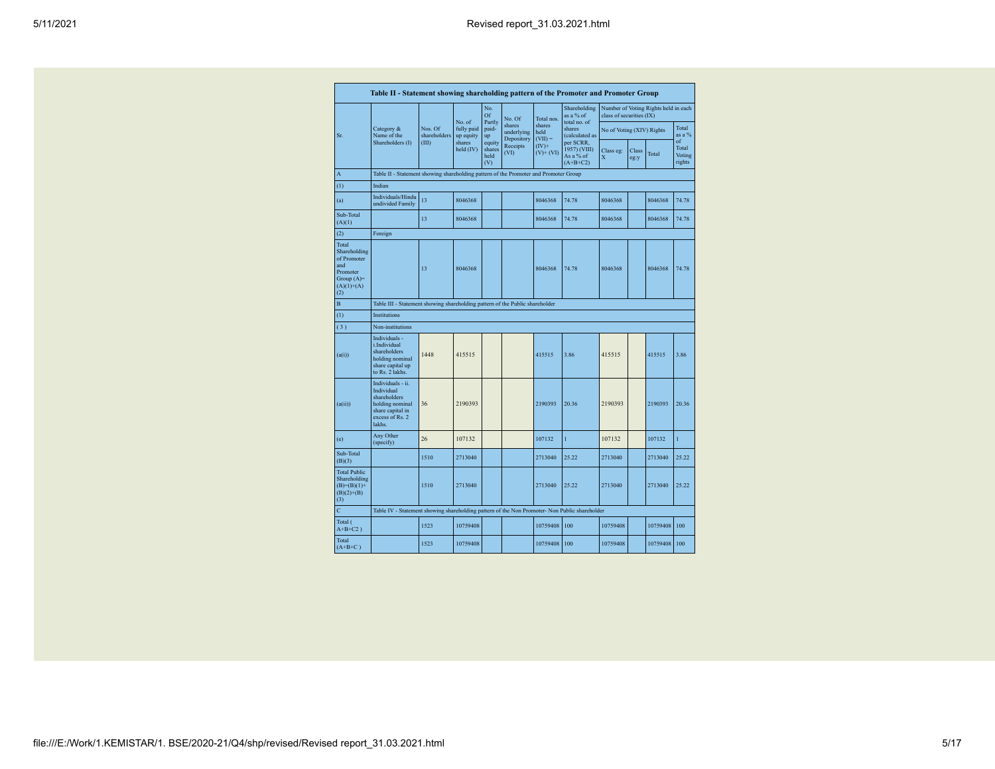| 5/11/2021 |  |
|-----------|--|
|-----------|--|

|                                                                                                | Table II - Statement showing shareholding pattern of the Promoter and Promoter Group                                |                                                                                      |                         |                                 |                                    |                             |                                                      |                           |               |                                      |                                 |  |
|------------------------------------------------------------------------------------------------|---------------------------------------------------------------------------------------------------------------------|--------------------------------------------------------------------------------------|-------------------------|---------------------------------|------------------------------------|-----------------------------|------------------------------------------------------|---------------------------|---------------|--------------------------------------|---------------------------------|--|
|                                                                                                |                                                                                                                     |                                                                                      | No. of                  | No.<br>Of<br>Partly             | No. Of                             | Total nos.                  | Shareholding<br>as a % of<br>total no. of            | class of securities (IX)  |               | Number of Voting Rights held in each |                                 |  |
| Sr.                                                                                            | Category &<br>Name of the                                                                                           | Nos. Of<br>shareholders                                                              | fully paid<br>up equity | paid-<br>up                     | shares<br>underlying<br>Depository | shares<br>held<br>$(VII) =$ | shares<br>(calculated as                             | No of Voting (XIV) Rights |               |                                      | Total<br>as a $%$               |  |
|                                                                                                | Shareholders (I)                                                                                                    | (III)                                                                                | shares<br>held $(IV)$   | equity<br>shares<br>held<br>(V) | Receipts<br>(VI)                   | $(IV)^+$<br>$(V)$ + $(VI)$  | per SCRR,<br>1957) (VIII)<br>As a % of<br>$(A+B+C2)$ | Class eg:<br>X            | Class<br>eg:y | Total                                | of<br>Total<br>Voting<br>rights |  |
| A                                                                                              |                                                                                                                     | Table II - Statement showing shareholding pattern of the Promoter and Promoter Group |                         |                                 |                                    |                             |                                                      |                           |               |                                      |                                 |  |
| (1)                                                                                            | Indian                                                                                                              |                                                                                      |                         |                                 |                                    |                             |                                                      |                           |               |                                      |                                 |  |
| (a)                                                                                            | Individuals/Hindu<br>undivided Family                                                                               | 13                                                                                   | 8046368                 |                                 |                                    | 8046368                     | 74.78                                                | 8046368                   |               | 8046368                              | 74.78                           |  |
| Sub-Total<br>(A)(1)                                                                            |                                                                                                                     | 13                                                                                   | 8046368                 |                                 |                                    | 8046368                     | 74.78                                                | 8046368                   |               | 8046368                              | 74.78                           |  |
| (2)                                                                                            | Foreign                                                                                                             |                                                                                      |                         |                                 |                                    |                             |                                                      |                           |               |                                      |                                 |  |
| Total<br>Shareholding<br>of Promoter<br>and<br>Promoter<br>Group $(A)=$<br>$(A)(1)+(A)$<br>(2) |                                                                                                                     | 13                                                                                   | 8046368                 |                                 |                                    | 8046368                     | 74.78                                                | 8046368                   |               | 8046368                              | 74.78                           |  |
| B                                                                                              | Table III - Statement showing shareholding pattern of the Public shareholder                                        |                                                                                      |                         |                                 |                                    |                             |                                                      |                           |               |                                      |                                 |  |
| (1)                                                                                            | Institutions                                                                                                        |                                                                                      |                         |                                 |                                    |                             |                                                      |                           |               |                                      |                                 |  |
| (3)                                                                                            | Non-institutions                                                                                                    |                                                                                      |                         |                                 |                                    |                             |                                                      |                           |               |                                      |                                 |  |
| (a(i))                                                                                         | Individuals -<br>i.Individual<br>shareholders<br>holding nominal<br>share capital up<br>to Rs. 2 lakhs.             | 1448                                                                                 | 415515                  |                                 |                                    | 415515                      | 3.86                                                 | 415515                    |               | 415515                               | 3.86                            |  |
| (a(ii))                                                                                        | Individuals - ii.<br>Individual<br>shareholders<br>holding nominal<br>share capital in<br>excess of Rs. 2<br>lakhs. | 36                                                                                   | 2190393                 |                                 |                                    | 2190393                     | 20.36                                                | 2190393                   |               | 2190393                              | 20.36                           |  |
| (e)                                                                                            | Any Other<br>(specify)                                                                                              | 26                                                                                   | 107132                  |                                 |                                    | 107132                      | $\mathbf{1}$                                         | 107132                    |               | 107132                               | 1                               |  |
| Sub-Total<br>(B)(3)                                                                            |                                                                                                                     | 1510                                                                                 | 2713040                 |                                 |                                    | 2713040                     | 25.22                                                | 2713040                   |               | 2713040                              | 25.22                           |  |
| <b>Total Public</b><br>Shareholding<br>$(B)= (B)(1) +$<br>$(B)(2)+(B)$<br>(3)                  |                                                                                                                     | 1510                                                                                 | 2713040                 |                                 |                                    | 2713040                     | 25.22                                                | 2713040                   |               | 2713040                              | 25.22                           |  |
| $\overline{c}$                                                                                 | Table IV - Statement showing shareholding pattern of the Non Promoter- Non Public shareholder                       |                                                                                      |                         |                                 |                                    |                             |                                                      |                           |               |                                      |                                 |  |
| Total (<br>$A+B+C2$ )                                                                          |                                                                                                                     | 1523                                                                                 | 10759408                |                                 |                                    | 10759408                    | 100                                                  | 10759408                  |               | 10759408                             | 100                             |  |
| Total<br>$(A+B+C)$                                                                             |                                                                                                                     | 1523                                                                                 | 10759408                |                                 |                                    | 10759408                    | 100                                                  | 10759408                  |               | 10759408                             | 100                             |  |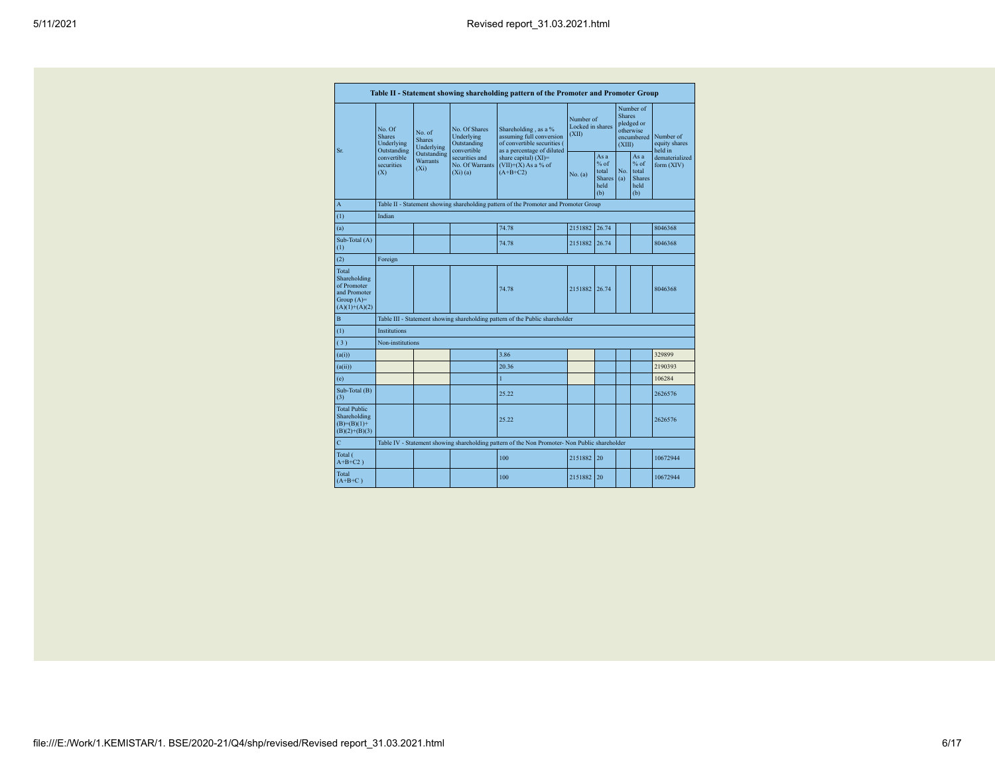|                                                                                         |                                                                                                                                           |             |                                                           | Table II - Statement showing shareholding pattern of the Promoter and Promoter Group                          |                                        |                                                       |                                                                               |                                                         |                                       |  |
|-----------------------------------------------------------------------------------------|-------------------------------------------------------------------------------------------------------------------------------------------|-------------|-----------------------------------------------------------|---------------------------------------------------------------------------------------------------------------|----------------------------------------|-------------------------------------------------------|-------------------------------------------------------------------------------|---------------------------------------------------------|---------------------------------------|--|
| Sr.                                                                                     | No Of<br>No. of<br><b>Shares</b><br><b>Shares</b><br>Underlying<br>Outstanding<br>convertible<br>Warrants<br>securities<br>$(X_i)$<br>(X) | Underlying  | No. Of Shares<br>Underlying<br>Outstanding<br>convertible | Shareholding, as a %<br>assuming full conversion<br>of convertible securities (<br>as a percentage of diluted | Number of<br>Locked in shares<br>(XII) |                                                       | Number of<br><b>Shares</b><br>pledged or<br>otherwise<br>encumbered<br>(XIII) |                                                         | Number of<br>equity shares<br>held in |  |
|                                                                                         |                                                                                                                                           | Outstanding | securities and<br>No. Of Warrants<br>$(Xi)$ (a)           | share capital) $(XI)$ =<br>$(VII)+(X)$ As a % of<br>$(A+B+C2)$                                                | No. (a)                                | As a<br>% of<br>total<br><b>Shares</b><br>held<br>(b) | No.<br>(a)                                                                    | As a<br>$%$ of<br>total<br><b>Shares</b><br>held<br>(b) | dematerialized<br>form (XIV)          |  |
| A                                                                                       |                                                                                                                                           |             |                                                           | Table II - Statement showing shareholding pattern of the Promoter and Promoter Group                          |                                        |                                                       |                                                                               |                                                         |                                       |  |
| (1)                                                                                     | Indian                                                                                                                                    |             |                                                           |                                                                                                               |                                        |                                                       |                                                                               |                                                         |                                       |  |
| (a)                                                                                     |                                                                                                                                           |             |                                                           | 74.78                                                                                                         | 2151882                                | 26.74                                                 |                                                                               |                                                         | 8046368                               |  |
| Sub-Total (A)<br>(1)                                                                    |                                                                                                                                           |             |                                                           | 74.78                                                                                                         | 2151882 26.74                          |                                                       |                                                                               |                                                         | 8046368                               |  |
| (2)                                                                                     | Foreign                                                                                                                                   |             |                                                           |                                                                                                               |                                        |                                                       |                                                                               |                                                         |                                       |  |
| Total<br>Shareholding<br>of Promoter<br>and Promoter<br>Group $(A)=$<br>$(A)(1)+(A)(2)$ |                                                                                                                                           |             |                                                           | 74.78                                                                                                         | 2151882                                | 26.74                                                 |                                                                               |                                                         | 8046368                               |  |
| B                                                                                       |                                                                                                                                           |             |                                                           | Table III - Statement showing shareholding pattern of the Public shareholder                                  |                                        |                                                       |                                                                               |                                                         |                                       |  |
| (1)                                                                                     | Institutions                                                                                                                              |             |                                                           |                                                                                                               |                                        |                                                       |                                                                               |                                                         |                                       |  |
| (3)                                                                                     | Non-institutions                                                                                                                          |             |                                                           |                                                                                                               |                                        |                                                       |                                                                               |                                                         |                                       |  |
| (a(i))                                                                                  |                                                                                                                                           |             |                                                           | 3.86                                                                                                          |                                        |                                                       |                                                                               |                                                         | 329899                                |  |
| (a(ii))                                                                                 |                                                                                                                                           |             |                                                           | 20.36                                                                                                         |                                        |                                                       |                                                                               |                                                         | 2190393                               |  |
| (e)                                                                                     |                                                                                                                                           |             |                                                           | 1                                                                                                             |                                        |                                                       |                                                                               |                                                         | 106284                                |  |
| Sub-Total (B)<br>(3)                                                                    |                                                                                                                                           |             |                                                           | 25 22                                                                                                         |                                        |                                                       |                                                                               |                                                         | 2626576                               |  |
| <b>Total Public</b><br>Shareholding<br>$(B)= (B)(1) +$<br>$(B)(2)+(B)(3)$               |                                                                                                                                           |             |                                                           | 25.22                                                                                                         |                                        |                                                       |                                                                               |                                                         | 2626576                               |  |
| Ċ                                                                                       |                                                                                                                                           |             |                                                           | Table IV - Statement showing shareholding pattern of the Non Promoter- Non Public shareholder                 |                                        |                                                       |                                                                               |                                                         |                                       |  |
| Total (<br>$A+B+C2$ )                                                                   |                                                                                                                                           |             |                                                           | 100                                                                                                           | 2151882                                | 20                                                    |                                                                               |                                                         | 10672944                              |  |
| Total<br>$(A+B+C)$                                                                      |                                                                                                                                           |             |                                                           | 100                                                                                                           | 2151882                                | 20                                                    |                                                                               |                                                         | 10672944                              |  |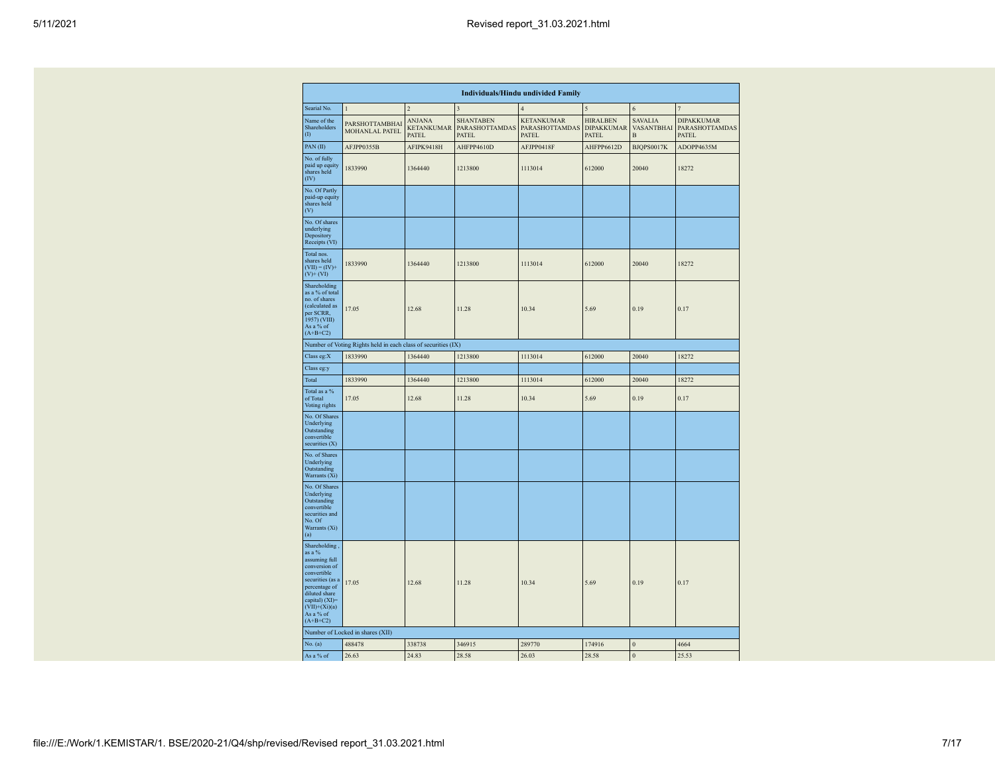|                                                                                                                                                                                                |                                                               |                                             |                                             | <b>Individuals/Hindu undivided Family</b>    |                                               |                                   |                                                     |
|------------------------------------------------------------------------------------------------------------------------------------------------------------------------------------------------|---------------------------------------------------------------|---------------------------------------------|---------------------------------------------|----------------------------------------------|-----------------------------------------------|-----------------------------------|-----------------------------------------------------|
| Searial No.                                                                                                                                                                                    | $\mathbf{1}$                                                  | $\overline{2}$                              | $\overline{\mathbf{3}}$                     | $\overline{4}$                               | 5                                             | 6                                 | $\overline{7}$                                      |
| Name of the<br>Shareholders<br>(1)                                                                                                                                                             | PARSHOTTAMBHAI<br>MOHANLAL PATEL                              | <b>ANJANA</b><br><b>KETANKUMAR</b><br>PATEL | <b>SHANTABEN</b><br>PARASHOTTAMDAS<br>PATEL | <b>KETANKUMAR</b><br>PARASHOTTAMDAS<br>PATEL | <b>HIRALBEN</b><br><b>DIPAKKUMAR</b><br>PATEL | <b>SAVALIA</b><br>VASANTBHAI<br>B | <b>DIPAKKUMAR</b><br>PARASHOTTAMDAS<br><b>PATEL</b> |
| PAN(II)                                                                                                                                                                                        | AFJPP0355B                                                    | AFIPK9418H                                  | AHFPP4610D                                  | AFJPP0418F                                   | AHFPP6612D                                    | BJQPS0017K                        | ADOPP4635M                                          |
| No. of fully<br>paid up equity<br>shares held<br>(IV)                                                                                                                                          | 1833990                                                       | 1364440                                     | 1213800                                     | 1113014                                      | 612000                                        | 20040                             | 18272                                               |
| No. Of Partly<br>paid-up equity<br>shares held<br>(V)                                                                                                                                          |                                                               |                                             |                                             |                                              |                                               |                                   |                                                     |
| No. Of shares<br>underlying<br>Depository<br>Receipts (VI)                                                                                                                                     |                                                               |                                             |                                             |                                              |                                               |                                   |                                                     |
| Total nos.<br>shares held<br>$(VII) = (IV) +$<br>$(V)$ + $(VI)$                                                                                                                                | 1833990                                                       | 1364440                                     | 1213800                                     | 1113014                                      | 612000                                        | 20040                             | 18272                                               |
| Shareholding<br>as a % of total<br>no. of shares<br>(calculated as<br>per SCRR,<br>1957) (VIII)<br>As a % of<br>$(A+B+C2)$                                                                     | 17.05                                                         | 12.68                                       | 11.28                                       | 10.34                                        | 5.69                                          | 0.19                              | 0.17                                                |
|                                                                                                                                                                                                | Number of Voting Rights held in each class of securities (IX) |                                             |                                             |                                              |                                               |                                   |                                                     |
| Class eg:X                                                                                                                                                                                     | 1833990                                                       | 1364440                                     | 1213800                                     | 1113014                                      | 612000                                        | 20040                             | 18272                                               |
| Class eg:y                                                                                                                                                                                     |                                                               |                                             |                                             |                                              |                                               |                                   |                                                     |
| Total                                                                                                                                                                                          | 1833990                                                       | 1364440                                     | 1213800                                     | 1113014                                      | 612000                                        | 20040                             | 18272                                               |
| Total as a %<br>of Total<br>Voting rights                                                                                                                                                      | 17.05                                                         | 12.68                                       | 11.28                                       | 10.34                                        | 5.69                                          | 0.19                              | 0.17                                                |
| No. Of Shares<br>Underlying<br>Outstanding<br>convertible<br>securities (X)                                                                                                                    |                                                               |                                             |                                             |                                              |                                               |                                   |                                                     |
| No. of Shares<br>Underlying<br>Outstanding<br>Warrants (Xi)                                                                                                                                    |                                                               |                                             |                                             |                                              |                                               |                                   |                                                     |
| No. Of Shares<br>Underlying<br>Outstanding<br>convertible<br>securities and<br>No. Of<br>Warrants (Xi)<br>(a)                                                                                  |                                                               |                                             |                                             |                                              |                                               |                                   |                                                     |
| Shareholding,<br>as a %<br>assuming full<br>conversion of<br>convertible<br>securities (as a<br>percentage of<br>diluted share<br>capital) (XI)=<br>$(VII)+(Xi)(a)$<br>As a % of<br>$(A+B+C2)$ | 17.05                                                         | 12.68                                       | 11.28                                       | 10.34                                        | 5.69                                          | 0.19                              | 0.17                                                |
|                                                                                                                                                                                                | Number of Locked in shares (XII)                              |                                             |                                             |                                              |                                               |                                   |                                                     |
| No. (a)                                                                                                                                                                                        | 488478                                                        | 338738                                      | 346915                                      | 289770                                       | 174916                                        | $\overline{0}$                    | 4664                                                |
| As a % of                                                                                                                                                                                      | 26.63                                                         | 24.83                                       | 28.58                                       | 26.03                                        | 28.58                                         | $\mathbf{0}$                      | 25.53                                               |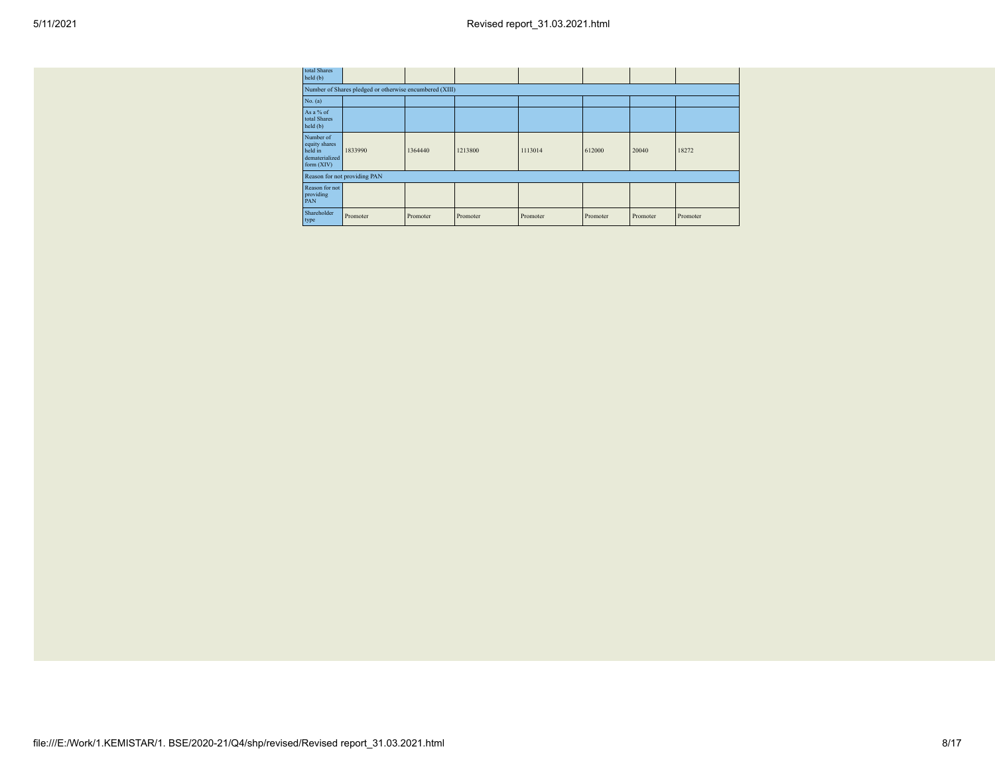| total Shares<br>held (b)                                              |                                                         |          |          |          |          |          |          |
|-----------------------------------------------------------------------|---------------------------------------------------------|----------|----------|----------|----------|----------|----------|
|                                                                       | Number of Shares pledged or otherwise encumbered (XIII) |          |          |          |          |          |          |
| No. (a)                                                               |                                                         |          |          |          |          |          |          |
| As a % of<br>total Shares<br>held (b)                                 |                                                         |          |          |          |          |          |          |
| Number of<br>equity shares<br>held in<br>dematerialized<br>form (XIV) | 1833990                                                 | 1364440  | 1213800  | 1113014  | 612000   | 20040    | 18272    |
|                                                                       | Reason for not providing PAN                            |          |          |          |          |          |          |
| Reason for not<br>providing<br>PAN                                    |                                                         |          |          |          |          |          |          |
| Shareholder<br>type                                                   | Promoter                                                | Promoter | Promoter | Promoter | Promoter | Promoter | Promoter |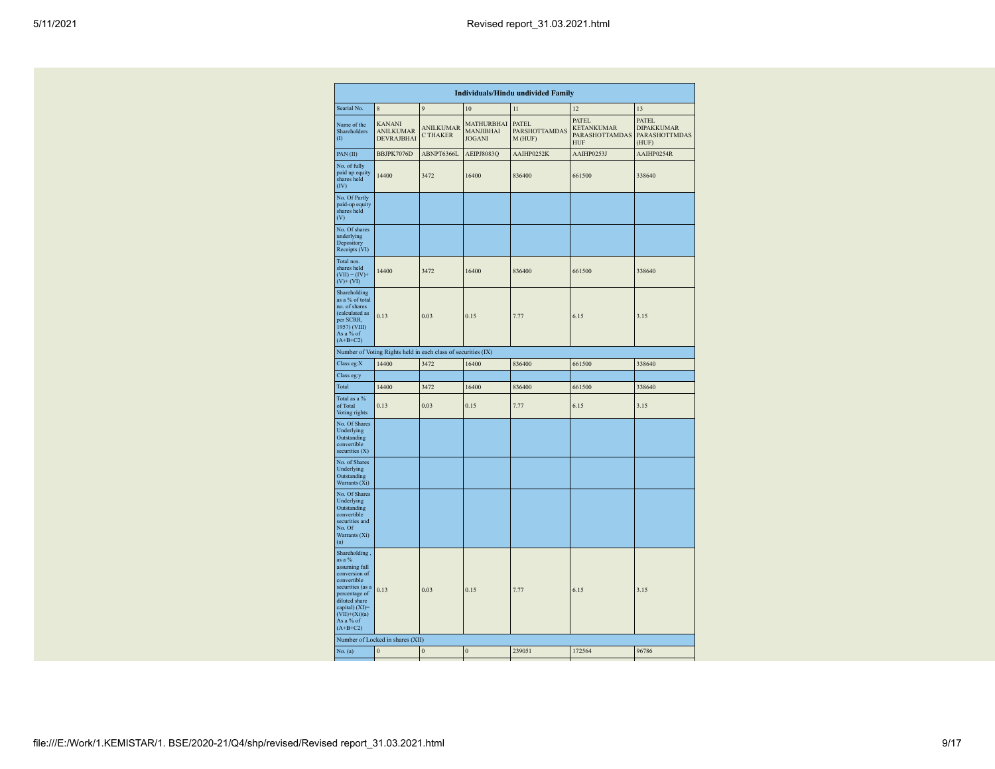|                                                                                                                                                                                                |                                                               |                                     |                                                 | <b>Individuals/Hindu undivided Family</b>       |                                                                          |                                                                    |
|------------------------------------------------------------------------------------------------------------------------------------------------------------------------------------------------|---------------------------------------------------------------|-------------------------------------|-------------------------------------------------|-------------------------------------------------|--------------------------------------------------------------------------|--------------------------------------------------------------------|
| Searial No.                                                                                                                                                                                    | $\,$ 8 $\,$                                                   | 9                                   | 10                                              | 11                                              | 12                                                                       | 13                                                                 |
| Name of the<br>Shareholders<br>(1)                                                                                                                                                             | <b>KANANI</b><br><b>ANILKUMAR</b><br>DEVRAJBHAI               | <b>ANILKUMAR</b><br><b>C THAKER</b> | <b>MATHURBHAI</b><br>MANJIBHAI<br><b>JOGANI</b> | <b>PATEL</b><br><b>PARSHOTTAMDAS</b><br>M (HUF) | <b>PATEL</b><br><b>KETANKUMAR</b><br><b>PARASHOTTAMDAS</b><br><b>HUF</b> | <b>PATEL</b><br><b>DIPAKKUMAR</b><br><b>PARASHOTTMDAS</b><br>(HUF) |
| PAN(II)                                                                                                                                                                                        | BBJPK7076D                                                    | ABNPT6366L                          | AEIPJ8083Q                                      | AAIHP0252K                                      | AAIHP0253J                                                               | AAIHP0254R                                                         |
| No. of fully<br>paid up equity<br>shares held<br>(IV)                                                                                                                                          | 14400                                                         | 3472                                | 16400                                           | 836400                                          | 661500                                                                   | 338640                                                             |
| No. Of Partly<br>paid-up equity<br>shares held<br>(V)                                                                                                                                          |                                                               |                                     |                                                 |                                                 |                                                                          |                                                                    |
| No. Of shares<br>underlying<br>Depository<br>Receipts (VI)                                                                                                                                     |                                                               |                                     |                                                 |                                                 |                                                                          |                                                                    |
| Total nos.<br>shares held<br>$(VII) = (IV) +$<br>$(V)$ + $(VI)$                                                                                                                                | 14400                                                         | 3472                                | 16400                                           | 836400                                          | 661500                                                                   | 338640                                                             |
| Shareholding<br>as a % of total<br>no. of shares<br>(calculated as<br>per SCRR,<br>1957) (VIII)<br>As a % of<br>$(A+B+C2)$                                                                     | 0.13                                                          | 0.03                                | 0.15                                            | 7.77                                            | 6.15                                                                     | 3.15                                                               |
|                                                                                                                                                                                                | Number of Voting Rights held in each class of securities (IX) |                                     |                                                 |                                                 |                                                                          |                                                                    |
| Class eg:X                                                                                                                                                                                     | 14400                                                         | 3472                                | 16400                                           | 836400                                          | 661500                                                                   | 338640                                                             |
| Class eg:y                                                                                                                                                                                     |                                                               |                                     |                                                 |                                                 |                                                                          |                                                                    |
| Total                                                                                                                                                                                          | 14400                                                         | 3472                                | 16400                                           | 836400                                          | 661500                                                                   | 338640                                                             |
| Total as a %<br>of Total<br>Voting rights                                                                                                                                                      | 0.13                                                          | 0.03                                | 0.15                                            | 7.77                                            | 6.15                                                                     | 3.15                                                               |
| No. Of Shares<br>Underlying<br>Outstanding<br>convertible<br>securities (X)                                                                                                                    |                                                               |                                     |                                                 |                                                 |                                                                          |                                                                    |
| No. of Shares<br>Underlying<br>Outstanding<br>Warrants (Xi)                                                                                                                                    |                                                               |                                     |                                                 |                                                 |                                                                          |                                                                    |
| No. Of Shares<br>Underlying<br>Outstanding<br>convertible<br>securities and<br>No. Of<br>Warrants (Xi)<br>(a)                                                                                  |                                                               |                                     |                                                 |                                                 |                                                                          |                                                                    |
| Shareholding,<br>as a %<br>assuming full<br>conversion of<br>convertible<br>securities (as a<br>percentage of<br>diluted share<br>capital) (XI)=<br>$(VII)+(Xi)(a)$<br>As a % of<br>$(A+B+C2)$ | 0.13                                                          | 0.03                                | 0.15                                            | 7.77                                            | 6.15                                                                     | 3.15                                                               |
|                                                                                                                                                                                                | Number of Locked in shares (XII)                              |                                     |                                                 |                                                 |                                                                          |                                                                    |
| No. (a)                                                                                                                                                                                        | $\mathbf{0}$                                                  | $\bf{0}$                            | $\mathbf{0}$                                    | 239051                                          | 172564                                                                   | 96786                                                              |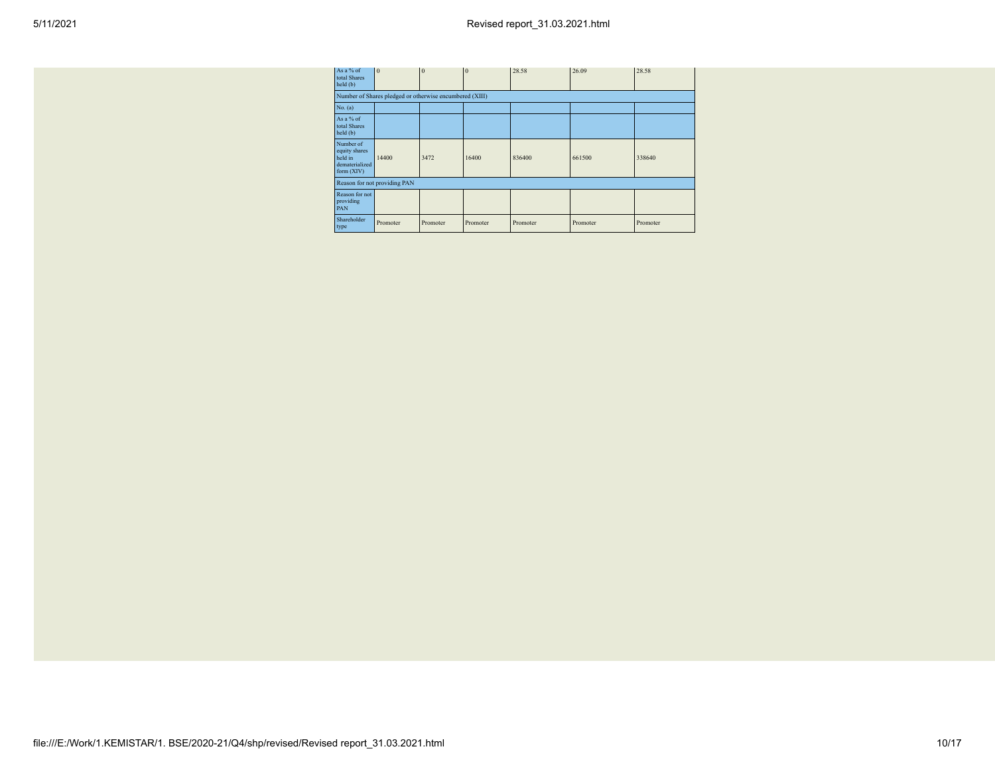| As a % of<br>total Shares<br>held(b)                                    | $\Omega$                                                | $\Omega$ | $\mathbf{0}$ | 28.58    | 26.09    | 28.58    |
|-------------------------------------------------------------------------|---------------------------------------------------------|----------|--------------|----------|----------|----------|
|                                                                         | Number of Shares pledged or otherwise encumbered (XIII) |          |              |          |          |          |
| No. (a)                                                                 |                                                         |          |              |          |          |          |
| As a % of<br>total Shares<br>held (b)                                   |                                                         |          |              |          |          |          |
| Number of<br>equity shares<br>held in<br>dematerialized<br>form $(XIV)$ | 14400                                                   | 3472     | 16400        | 836400   | 661500   | 338640   |
|                                                                         | Reason for not providing PAN                            |          |              |          |          |          |
| Reason for not<br>providing<br>PAN                                      |                                                         |          |              |          |          |          |
| Shareholder<br>type                                                     | Promoter                                                | Promoter | Promoter     | Promoter | Promoter | Promoter |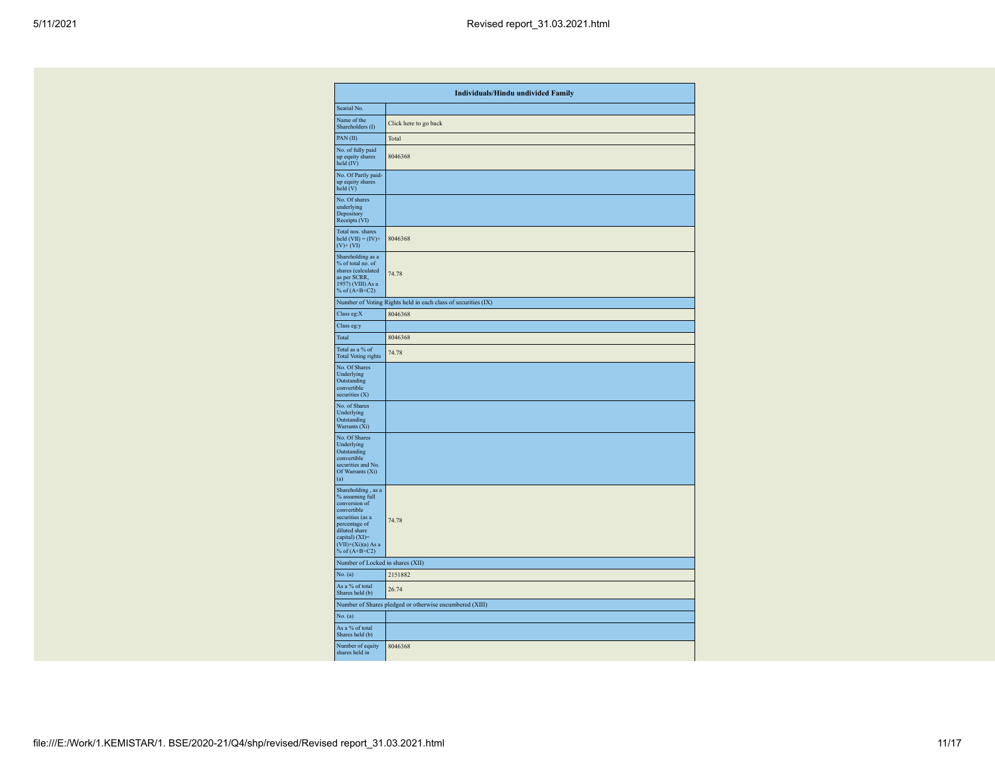|                                                                                                                                                                                          | <b>Individuals/Hindu undivided Family</b>                     |
|------------------------------------------------------------------------------------------------------------------------------------------------------------------------------------------|---------------------------------------------------------------|
| Searial No.                                                                                                                                                                              |                                                               |
| Name of the<br>Shareholders (I)                                                                                                                                                          | Click here to go back                                         |
| PAN(II)                                                                                                                                                                                  | Total                                                         |
| No. of fully paid<br>up equity shares<br>held (IV)                                                                                                                                       | 8046368                                                       |
| No. Of Partly paid-<br>up equity shares<br>held (V)                                                                                                                                      |                                                               |
| No. Of shares<br>underlying<br>Depository<br>Receipts (VI)                                                                                                                               |                                                               |
| Total nos. shares<br>held $(VII) = (IV) +$<br>$(V)$ + $(VI)$                                                                                                                             | 8046368                                                       |
| Shareholding as a<br>% of total no. of<br>shares (calculated<br>as per SCRR,<br>1957) (VIII) As a<br>% of $(A+B+C2)$                                                                     | 74.78                                                         |
|                                                                                                                                                                                          | Number of Voting Rights held in each class of securities (IX) |
| Class eg:X                                                                                                                                                                               | 8046368                                                       |
| Class eg:y                                                                                                                                                                               |                                                               |
| Total                                                                                                                                                                                    | 8046368                                                       |
| Total as a % of<br><b>Total Voting rights</b>                                                                                                                                            | 74.78                                                         |
| No. Of Shares<br>Underlying<br>Outstanding<br>convertible<br>securities (X)                                                                                                              |                                                               |
| No. of Shares<br>Underlying<br>Outstanding<br>Warrants (Xi)                                                                                                                              |                                                               |
| No. Of Shares<br>Underlying<br>Outstanding<br>convertible<br>securities and No.<br>Of Warrants (Xi)<br>(a)                                                                               |                                                               |
| Shareholding, as a<br>% assuming full<br>conversion of<br>convertible<br>securities (as a<br>percentage of<br>diluted share<br>capital) (XI)=<br>$(VII)+(Xi)(a)$ As a<br>% of $(A+B+C2)$ | 74.78                                                         |
| Number of Locked in shares (XII)                                                                                                                                                         |                                                               |
| No. (a)                                                                                                                                                                                  | 2151882                                                       |
| As a % of total<br>Shares held (b)                                                                                                                                                       | 26.74                                                         |
|                                                                                                                                                                                          | Number of Shares pledged or otherwise encumbered (XIII)       |
| No. (a)                                                                                                                                                                                  |                                                               |
| As a % of total<br>Shares held (b)                                                                                                                                                       |                                                               |
| Number of equity<br>shares held in                                                                                                                                                       | 8046368                                                       |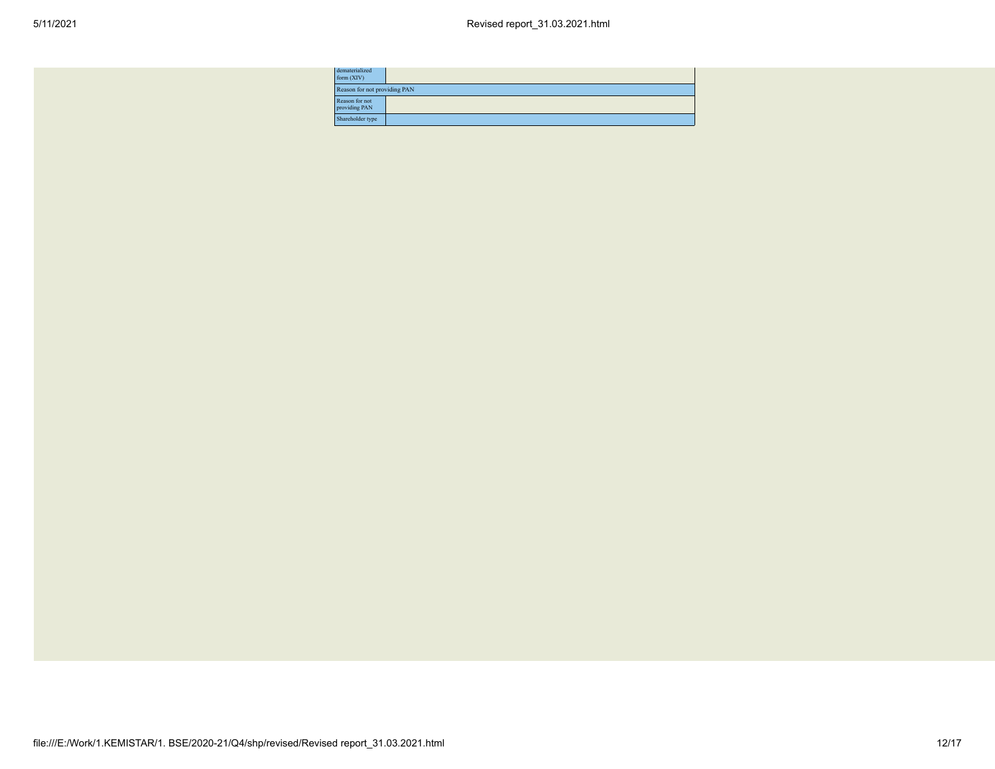| dematerialized<br>form $(XIV)$  |                              |  |  |  |  |  |  |
|---------------------------------|------------------------------|--|--|--|--|--|--|
|                                 | Reason for not providing PAN |  |  |  |  |  |  |
| Reason for not<br>providing PAN |                              |  |  |  |  |  |  |
| Shareholder type                |                              |  |  |  |  |  |  |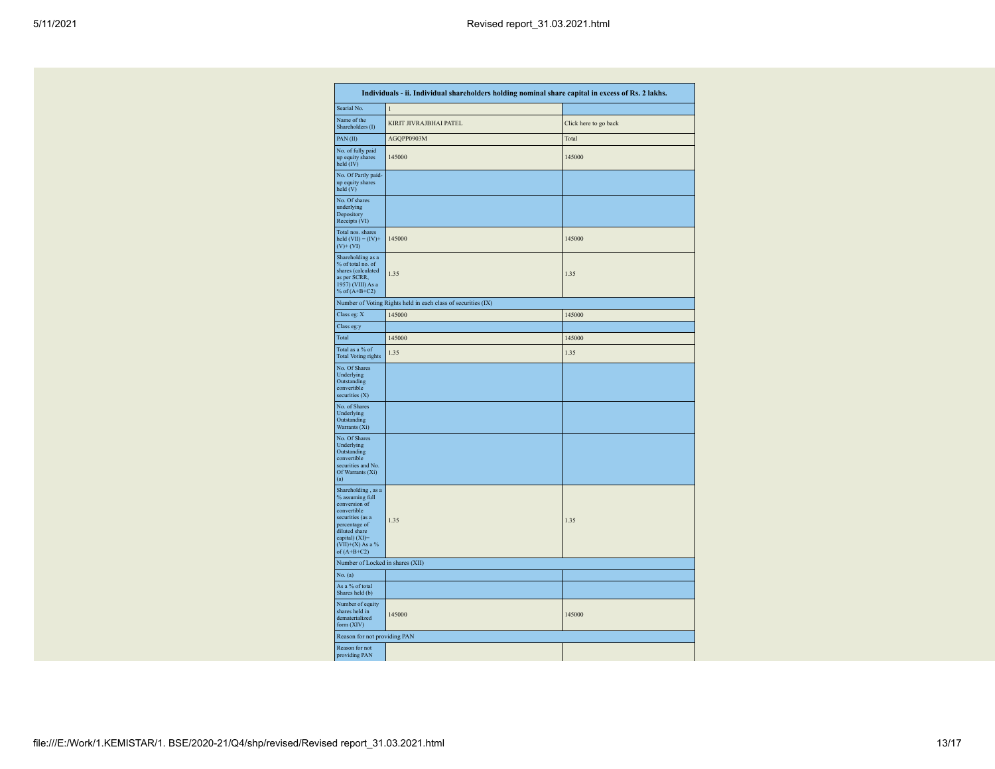| Individuals - ii. Individual shareholders holding nominal share capital in excess of Rs. 2 lakhs.                                                                                    |                                                               |                       |  |  |  |  |  |  |  |  |  |  |
|--------------------------------------------------------------------------------------------------------------------------------------------------------------------------------------|---------------------------------------------------------------|-----------------------|--|--|--|--|--|--|--|--|--|--|
| Searial No.                                                                                                                                                                          | $\mathbf{1}$                                                  |                       |  |  |  |  |  |  |  |  |  |  |
| Name of the<br>Shareholders (I)                                                                                                                                                      | KIRIT JIVRAJBHAI PATEL                                        | Click here to go back |  |  |  |  |  |  |  |  |  |  |
| PAN(II)                                                                                                                                                                              | AGQPP0903M                                                    | Total                 |  |  |  |  |  |  |  |  |  |  |
| No. of fully paid<br>up equity shares<br>held (IV)                                                                                                                                   | 145000                                                        | 145000                |  |  |  |  |  |  |  |  |  |  |
| No. Of Partly paid-<br>up equity shares<br>held (V)                                                                                                                                  |                                                               |                       |  |  |  |  |  |  |  |  |  |  |
| No. Of shares<br>underlying<br>Depository<br>Receipts (VI)                                                                                                                           |                                                               |                       |  |  |  |  |  |  |  |  |  |  |
| Total nos. shares<br>held $(VII) = (IV) +$<br>$(V)$ + $(VI)$                                                                                                                         | 145000                                                        | 145000                |  |  |  |  |  |  |  |  |  |  |
| Shareholding as a<br>% of total no. of<br>shares (calculated<br>as per SCRR,<br>1957) (VIII) As a<br>% of $(A+B+C2)$                                                                 | 1.35                                                          | 1.35                  |  |  |  |  |  |  |  |  |  |  |
|                                                                                                                                                                                      | Number of Voting Rights held in each class of securities (IX) |                       |  |  |  |  |  |  |  |  |  |  |
| Class eg: X                                                                                                                                                                          | 145000                                                        | 145000                |  |  |  |  |  |  |  |  |  |  |
| Class eg:y                                                                                                                                                                           |                                                               |                       |  |  |  |  |  |  |  |  |  |  |
| Total                                                                                                                                                                                | 145000                                                        | 145000                |  |  |  |  |  |  |  |  |  |  |
| Total as a % of<br><b>Total Voting rights</b>                                                                                                                                        | 1.35                                                          | 1.35                  |  |  |  |  |  |  |  |  |  |  |
| No. Of Shares<br>Underlying<br>Outstanding<br>convertible<br>securities (X)                                                                                                          |                                                               |                       |  |  |  |  |  |  |  |  |  |  |
| No. of Shares<br>Underlying<br>Outstanding<br>Warrants (Xi)                                                                                                                          |                                                               |                       |  |  |  |  |  |  |  |  |  |  |
| No. Of Shares<br>Underlying<br>Outstanding<br>convertible<br>securities and No.<br>Of Warrants (Xi)<br>(a)                                                                           |                                                               |                       |  |  |  |  |  |  |  |  |  |  |
| Shareholding, as a<br>% assuming full<br>conversion of<br>convertible<br>securities (as a<br>percentage of<br>diluted share<br>capital) (XI)=<br>$(VII)+(X)$ As a %<br>of $(A+B+C2)$ | 1.35                                                          | 1.35                  |  |  |  |  |  |  |  |  |  |  |
| Number of Locked in shares (XII)                                                                                                                                                     |                                                               |                       |  |  |  |  |  |  |  |  |  |  |
| No. (a)                                                                                                                                                                              |                                                               |                       |  |  |  |  |  |  |  |  |  |  |
| As a % of total<br>Shares held (b)                                                                                                                                                   |                                                               |                       |  |  |  |  |  |  |  |  |  |  |
| Number of equity<br>shares held in<br>dematerialized<br>form (XIV)                                                                                                                   | 145000                                                        | 145000                |  |  |  |  |  |  |  |  |  |  |
| Reason for not providing PAN                                                                                                                                                         |                                                               |                       |  |  |  |  |  |  |  |  |  |  |
| Reason for not<br>providing PAN                                                                                                                                                      |                                                               |                       |  |  |  |  |  |  |  |  |  |  |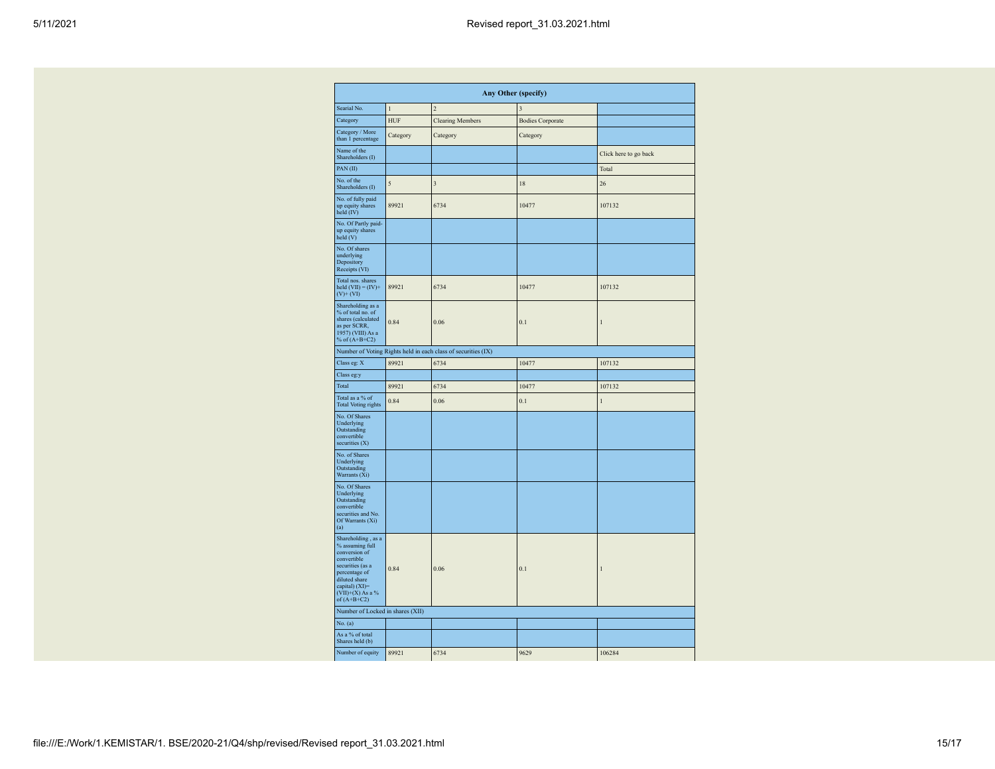| Any Other (specify)                                                                                                                                                                  |              |                                                               |                         |                       |  |  |  |  |  |  |  |  |
|--------------------------------------------------------------------------------------------------------------------------------------------------------------------------------------|--------------|---------------------------------------------------------------|-------------------------|-----------------------|--|--|--|--|--|--|--|--|
| Searial No.                                                                                                                                                                          | $\mathbf{1}$ | $\overline{2}$                                                |                         |                       |  |  |  |  |  |  |  |  |
| Category                                                                                                                                                                             | <b>HUF</b>   | <b>Clearing Members</b>                                       | <b>Bodies Corporate</b> |                       |  |  |  |  |  |  |  |  |
| Category / More<br>than 1 percentage                                                                                                                                                 | Category     | Category                                                      | Category                |                       |  |  |  |  |  |  |  |  |
| Name of the<br>Shareholders (I)                                                                                                                                                      |              |                                                               |                         | Click here to go back |  |  |  |  |  |  |  |  |
| PAN(II)                                                                                                                                                                              |              |                                                               |                         | Total                 |  |  |  |  |  |  |  |  |
| No. of the<br>Shareholders (I)                                                                                                                                                       | 5            | $\overline{\mathbf{3}}$                                       | 18                      | 26                    |  |  |  |  |  |  |  |  |
| No. of fully paid<br>up equity shares<br>held (IV)                                                                                                                                   | 89921        | 6734                                                          | 10477                   | 107132                |  |  |  |  |  |  |  |  |
| No. Of Partly paid-<br>up equity shares<br>held (V)                                                                                                                                  |              |                                                               |                         |                       |  |  |  |  |  |  |  |  |
| No. Of shares<br>underlying<br>Depository<br>Receipts (VI)                                                                                                                           |              |                                                               |                         |                       |  |  |  |  |  |  |  |  |
| Total nos. shares<br>held $(VII) = (IV) +$<br>$(V)+(VI)$                                                                                                                             | 89921        | 6734                                                          | 10477                   | 107132                |  |  |  |  |  |  |  |  |
| Shareholding as a<br>% of total no. of<br>shares (calculated<br>as per SCRR,<br>1957) (VIII) As a<br>% of $(A+B+C2)$                                                                 | 0.84         | 0.06                                                          | 0.1                     | $\mathbf{1}$          |  |  |  |  |  |  |  |  |
|                                                                                                                                                                                      |              | Number of Voting Rights held in each class of securities (IX) |                         |                       |  |  |  |  |  |  |  |  |
| Class eg: X                                                                                                                                                                          | 89921        | 6734                                                          | 10477                   | 107132                |  |  |  |  |  |  |  |  |
| Class eg:y                                                                                                                                                                           |              |                                                               |                         |                       |  |  |  |  |  |  |  |  |
| Total<br>89921<br>6734                                                                                                                                                               |              |                                                               | 10477                   | 107132                |  |  |  |  |  |  |  |  |
| Total as a % of<br><b>Total Voting rights</b>                                                                                                                                        | 0.84         | 0.06                                                          | 0.1                     | $\mathbf{I}$          |  |  |  |  |  |  |  |  |
| No. Of Shares<br>Underlying<br>Outstanding<br>convertible<br>securities (X)                                                                                                          |              |                                                               |                         |                       |  |  |  |  |  |  |  |  |
| No. of Shares<br>Underlying<br>Outstanding<br>Warrants (Xi)                                                                                                                          |              |                                                               |                         |                       |  |  |  |  |  |  |  |  |
| No. Of Shares<br>Underlying<br>Outstanding<br>convertible<br>securities and No.<br>Of Warrants (Xi)<br>(a)                                                                           |              |                                                               |                         |                       |  |  |  |  |  |  |  |  |
| Shareholding, as a<br>% assuming full<br>conversion of<br>convertible<br>securities (as a<br>percentage of<br>diluted share<br>capital) (XI)=<br>$(VII)+(X)$ As a %<br>of $(A+B+C2)$ | 0.84         | 0.06                                                          | 0.1                     | $\mathbf{1}$          |  |  |  |  |  |  |  |  |
| Number of Locked in shares (XII)                                                                                                                                                     |              |                                                               |                         |                       |  |  |  |  |  |  |  |  |
| No. (a)                                                                                                                                                                              |              |                                                               |                         |                       |  |  |  |  |  |  |  |  |
| As a % of total<br>Shares held (b)                                                                                                                                                   |              |                                                               |                         |                       |  |  |  |  |  |  |  |  |
| Number of equity                                                                                                                                                                     | 89921        | 6734                                                          | 9629                    | 106284                |  |  |  |  |  |  |  |  |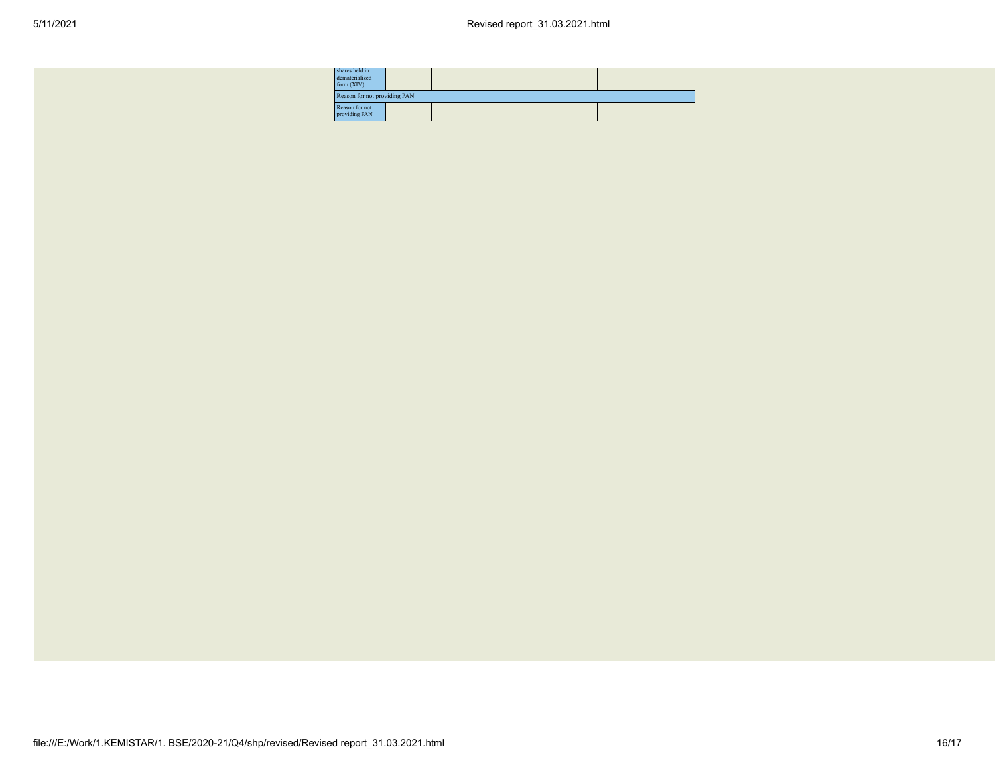| shares held in<br>dematerialized<br>form $(XIV)$ |                              |  |  |  |  |  |  |  |  |  |
|--------------------------------------------------|------------------------------|--|--|--|--|--|--|--|--|--|
|                                                  | Reason for not providing PAN |  |  |  |  |  |  |  |  |  |
| Reason for not<br>providing PAN                  |                              |  |  |  |  |  |  |  |  |  |